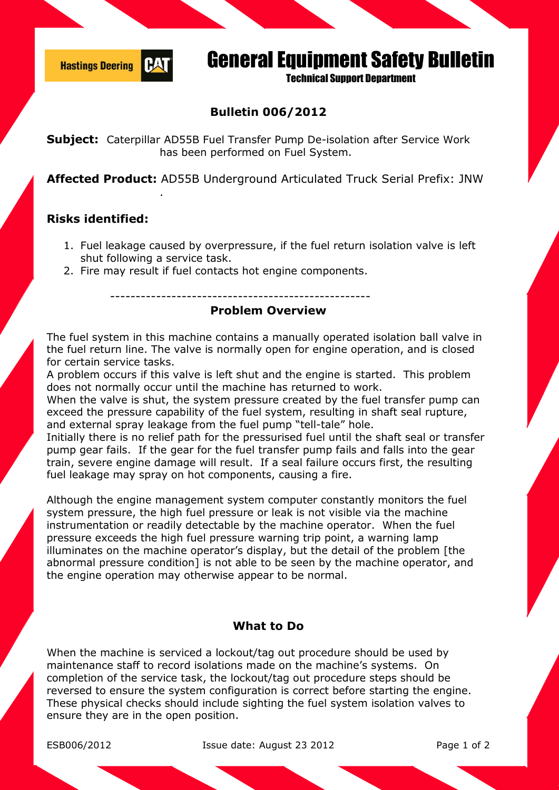

# General Equipment Safety Bulletin

**Technical Sunnort Department** 

## **Bulletin 006/2012**

**Subject:** Caterpillar AD55B Fuel Transfer Pump De-isolation after Service Work has been performed on Fuel System.

**Affected Product:** AD55B Underground Articulated Truck Serial Prefix: JNW

### **Risks identified:**

.

- 1. Fuel leakage caused by overpressure, if the fuel return isolation valve is left shut following a service task.
- 2. Fire may result if fuel contacts hot engine components.

---------------------------------------------------

#### **Problem Overview**

The fuel system in this machine contains a manually operated isolation ball valve in the fuel return line. The valve is normally open for engine operation, and is closed for certain service tasks.

A problem occurs if this valve is left shut and the engine is started. This problem does not normally occur until the machine has returned to work.

When the valve is shut, the system pressure created by the fuel transfer pump can exceed the pressure capability of the fuel system, resulting in shaft seal rupture, and external spray leakage from the fuel pump "tell-tale" hole.

Initially there is no relief path for the pressurised fuel until the shaft seal or transfer pump gear fails. If the gear for the fuel transfer pump fails and falls into the gear train, severe engine damage will result. If a seal failure occurs first, the resulting fuel leakage may spray on hot components, causing a fire.

Although the engine management system computer constantly monitors the fuel system pressure, the high fuel pressure or leak is not visible via the machine instrumentation or readily detectable by the machine operator. When the fuel pressure exceeds the high fuel pressure warning trip point, a warning lamp illuminates on the machine operator's display, but the detail of the problem [the abnormal pressure condition] is not able to be seen by the machine operator, and the engine operation may otherwise appear to be normal.

#### **What to Do**

When the machine is serviced a lockout/tag out procedure should be used by maintenance staff to record isolations made on the machine's systems. On completion of the service task, the lockout/tag out procedure steps should be reversed to ensure the system configuration is correct before starting the engine. These physical checks should include sighting the fuel system isolation valves to ensure they are in the open position.

ESB006/2012 Issue date: August 23 2012 Page 1 of 2